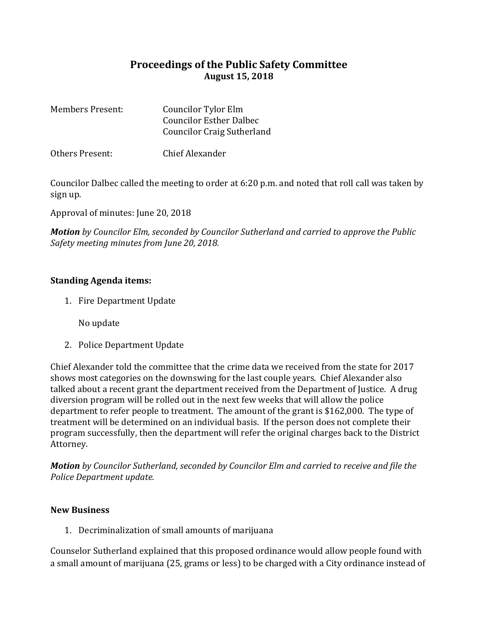## **Proceedings of the Public Safety Committee August 15, 2018**

| <b>Members Present:</b> | <b>Councilor Tylor Elm</b>        |
|-------------------------|-----------------------------------|
|                         | <b>Councilor Esther Dalbec</b>    |
|                         | <b>Councilor Craig Sutherland</b> |
|                         |                                   |

Others Present: Chief Alexander

Councilor Dalbec called the meeting to order at 6:20 p.m. and noted that roll call was taken by sign up.

Approval of minutes: June 20, 2018

*Motion by Councilor Elm, seconded by Councilor Sutherland and carried to approve the Public Safety meeting minutes from June 20, 2018.*

## **Standing Agenda items:**

1. Fire Department Update

No update

2. Police Department Update

Chief Alexander told the committee that the crime data we received from the state for 2017 shows most categories on the downswing for the last couple years. Chief Alexander also talked about a recent grant the department received from the Department of Justice. A drug diversion program will be rolled out in the next few weeks that will allow the police department to refer people to treatment. The amount of the grant is \$162,000. The type of treatment will be determined on an individual basis. If the person does not complete their program successfully, then the department will refer the original charges back to the District Attorney.

*Motion by Councilor Sutherland, seconded by Councilor Elm and carried to receive and file the Police Department update.* 

## **New Business**

1. Decriminalization of small amounts of marijuana

Counselor Sutherland explained that this proposed ordinance would allow people found with a small amount of marijuana (25, grams or less) to be charged with a City ordinance instead of